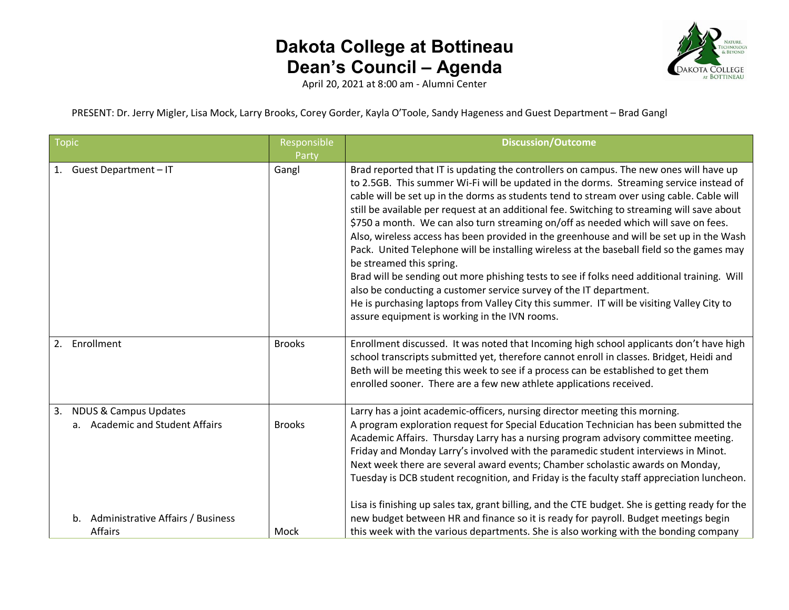

April 20, 2021 at 8:00 am - Alumni Center

PRESENT: Dr. Jerry Migler, Lisa Mock, Larry Brooks, Corey Gorder, Kayla O'Toole, Sandy Hageness and Guest Department – Brad Gangl

| <b>Topic</b>                                                                                                      | Responsible<br>Party | <b>Discussion/Outcome</b>                                                                                                                                                                                                                                                                                                                                                                                                                                                                                                                                                                                                                                                                                                                                                                                                                                                                                                                                                                                   |
|-------------------------------------------------------------------------------------------------------------------|----------------------|-------------------------------------------------------------------------------------------------------------------------------------------------------------------------------------------------------------------------------------------------------------------------------------------------------------------------------------------------------------------------------------------------------------------------------------------------------------------------------------------------------------------------------------------------------------------------------------------------------------------------------------------------------------------------------------------------------------------------------------------------------------------------------------------------------------------------------------------------------------------------------------------------------------------------------------------------------------------------------------------------------------|
| 1. Guest Department-IT                                                                                            | Gangl                | Brad reported that IT is updating the controllers on campus. The new ones will have up<br>to 2.5GB. This summer Wi-Fi will be updated in the dorms. Streaming service instead of<br>cable will be set up in the dorms as students tend to stream over using cable. Cable will<br>still be available per request at an additional fee. Switching to streaming will save about<br>\$750 a month. We can also turn streaming on/off as needed which will save on fees.<br>Also, wireless access has been provided in the greenhouse and will be set up in the Wash<br>Pack. United Telephone will be installing wireless at the baseball field so the games may<br>be streamed this spring.<br>Brad will be sending out more phishing tests to see if folks need additional training. Will<br>also be conducting a customer service survey of the IT department.<br>He is purchasing laptops from Valley City this summer. IT will be visiting Valley City to<br>assure equipment is working in the IVN rooms. |
| Enrollment<br>2.                                                                                                  | <b>Brooks</b>        | Enrollment discussed. It was noted that Incoming high school applicants don't have high<br>school transcripts submitted yet, therefore cannot enroll in classes. Bridget, Heidi and<br>Beth will be meeting this week to see if a process can be established to get them<br>enrolled sooner. There are a few new athlete applications received.                                                                                                                                                                                                                                                                                                                                                                                                                                                                                                                                                                                                                                                             |
| <b>NDUS &amp; Campus Updates</b><br>3.<br>a. Academic and Student Affairs<br>b. Administrative Affairs / Business | <b>Brooks</b>        | Larry has a joint academic-officers, nursing director meeting this morning.<br>A program exploration request for Special Education Technician has been submitted the<br>Academic Affairs. Thursday Larry has a nursing program advisory committee meeting.<br>Friday and Monday Larry's involved with the paramedic student interviews in Minot.<br>Next week there are several award events; Chamber scholastic awards on Monday,<br>Tuesday is DCB student recognition, and Friday is the faculty staff appreciation luncheon.<br>Lisa is finishing up sales tax, grant billing, and the CTE budget. She is getting ready for the<br>new budget between HR and finance so it is ready for payroll. Budget meetings begin                                                                                                                                                                                                                                                                                  |
| Affairs                                                                                                           | Mock                 | this week with the various departments. She is also working with the bonding company                                                                                                                                                                                                                                                                                                                                                                                                                                                                                                                                                                                                                                                                                                                                                                                                                                                                                                                        |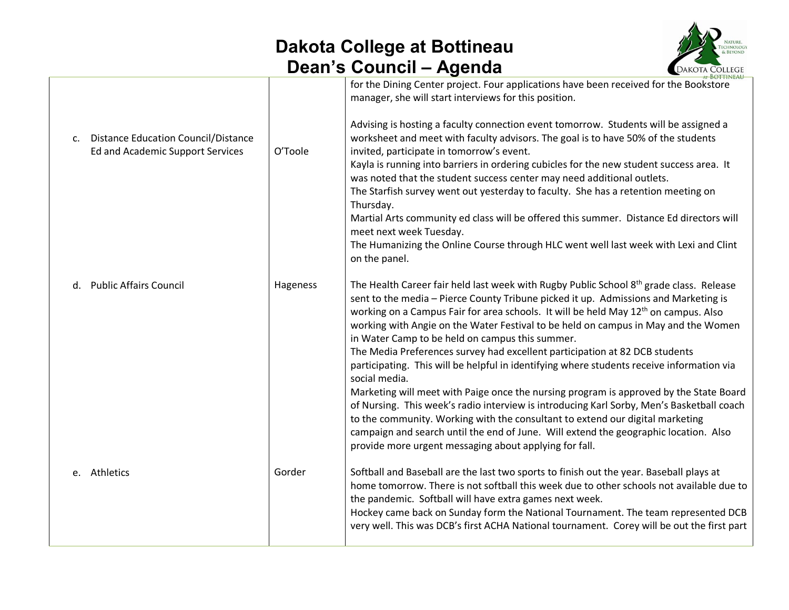

|                |                                                                                |          | AT BOTTINEAU                                                                                                                                                                                                                                                                                                                                                                                                                                                                                                                                                                                                                                                                                                                                                                                                                                                                                                                                                                                                                                                  |
|----------------|--------------------------------------------------------------------------------|----------|---------------------------------------------------------------------------------------------------------------------------------------------------------------------------------------------------------------------------------------------------------------------------------------------------------------------------------------------------------------------------------------------------------------------------------------------------------------------------------------------------------------------------------------------------------------------------------------------------------------------------------------------------------------------------------------------------------------------------------------------------------------------------------------------------------------------------------------------------------------------------------------------------------------------------------------------------------------------------------------------------------------------------------------------------------------|
| $\mathsf{C}$ . | <b>Distance Education Council/Distance</b><br>Ed and Academic Support Services | O'Toole  | for the Dining Center project. Four applications have been received for the Bookstore<br>manager, she will start interviews for this position.<br>Advising is hosting a faculty connection event tomorrow. Students will be assigned a<br>worksheet and meet with faculty advisors. The goal is to have 50% of the students<br>invited, participate in tomorrow's event.<br>Kayla is running into barriers in ordering cubicles for the new student success area. It<br>was noted that the student success center may need additional outlets.<br>The Starfish survey went out yesterday to faculty. She has a retention meeting on<br>Thursday.<br>Martial Arts community ed class will be offered this summer. Distance Ed directors will<br>meet next week Tuesday.<br>The Humanizing the Online Course through HLC went well last week with Lexi and Clint<br>on the panel.                                                                                                                                                                               |
| d.             | <b>Public Affairs Council</b>                                                  | Hageness | The Health Career fair held last week with Rugby Public School 8 <sup>th</sup> grade class. Release<br>sent to the media - Pierce County Tribune picked it up. Admissions and Marketing is<br>working on a Campus Fair for area schools. It will be held May 12 <sup>th</sup> on campus. Also<br>working with Angie on the Water Festival to be held on campus in May and the Women<br>in Water Camp to be held on campus this summer.<br>The Media Preferences survey had excellent participation at 82 DCB students<br>participating. This will be helpful in identifying where students receive information via<br>social media.<br>Marketing will meet with Paige once the nursing program is approved by the State Board<br>of Nursing. This week's radio interview is introducing Karl Sorby, Men's Basketball coach<br>to the community. Working with the consultant to extend our digital marketing<br>campaign and search until the end of June. Will extend the geographic location. Also<br>provide more urgent messaging about applying for fall. |
|                | e. Athletics                                                                   | Gorder   | Softball and Baseball are the last two sports to finish out the year. Baseball plays at<br>home tomorrow. There is not softball this week due to other schools not available due to<br>the pandemic. Softball will have extra games next week.<br>Hockey came back on Sunday form the National Tournament. The team represented DCB<br>very well. This was DCB's first ACHA National tournament. Corey will be out the first part                                                                                                                                                                                                                                                                                                                                                                                                                                                                                                                                                                                                                             |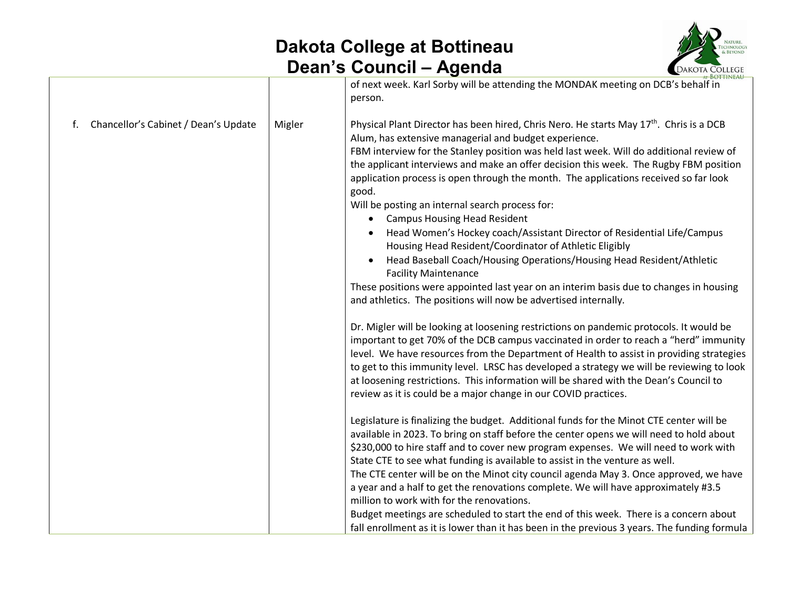

|        | AT BOTTINEAU                                                                                                                                                                                                                                                                                                                                                                                                                                                                                                                                                                                                                                                                                                                                                                                                                                                                                                                                                       |
|--------|--------------------------------------------------------------------------------------------------------------------------------------------------------------------------------------------------------------------------------------------------------------------------------------------------------------------------------------------------------------------------------------------------------------------------------------------------------------------------------------------------------------------------------------------------------------------------------------------------------------------------------------------------------------------------------------------------------------------------------------------------------------------------------------------------------------------------------------------------------------------------------------------------------------------------------------------------------------------|
|        | of next week. Karl Sorby will be attending the MONDAK meeting on DCB's behalf in<br>person.                                                                                                                                                                                                                                                                                                                                                                                                                                                                                                                                                                                                                                                                                                                                                                                                                                                                        |
| Migler | Physical Plant Director has been hired, Chris Nero. He starts May 17 <sup>th</sup> . Chris is a DCB<br>Alum, has extensive managerial and budget experience.<br>FBM interview for the Stanley position was held last week. Will do additional review of<br>the applicant interviews and make an offer decision this week. The Rugby FBM position<br>application process is open through the month. The applications received so far look<br>good.<br>Will be posting an internal search process for:<br><b>Campus Housing Head Resident</b><br>$\bullet$<br>Head Women's Hockey coach/Assistant Director of Residential Life/Campus<br>Housing Head Resident/Coordinator of Athletic Eligibly<br>Head Baseball Coach/Housing Operations/Housing Head Resident/Athletic<br><b>Facility Maintenance</b><br>These positions were appointed last year on an interim basis due to changes in housing<br>and athletics. The positions will now be advertised internally. |
|        | Dr. Migler will be looking at loosening restrictions on pandemic protocols. It would be<br>important to get 70% of the DCB campus vaccinated in order to reach a "herd" immunity<br>level. We have resources from the Department of Health to assist in providing strategies<br>to get to this immunity level. LRSC has developed a strategy we will be reviewing to look<br>at loosening restrictions. This information will be shared with the Dean's Council to<br>review as it is could be a major change in our COVID practices.                                                                                                                                                                                                                                                                                                                                                                                                                              |
|        | Legislature is finalizing the budget. Additional funds for the Minot CTE center will be<br>available in 2023. To bring on staff before the center opens we will need to hold about<br>\$230,000 to hire staff and to cover new program expenses. We will need to work with<br>State CTE to see what funding is available to assist in the venture as well.<br>The CTE center will be on the Minot city council agenda May 3. Once approved, we have<br>a year and a half to get the renovations complete. We will have approximately #3.5<br>million to work with for the renovations.<br>Budget meetings are scheduled to start the end of this week. There is a concern about<br>fall enrollment as it is lower than it has been in the previous 3 years. The funding formula                                                                                                                                                                                    |
|        |                                                                                                                                                                                                                                                                                                                                                                                                                                                                                                                                                                                                                                                                                                                                                                                                                                                                                                                                                                    |